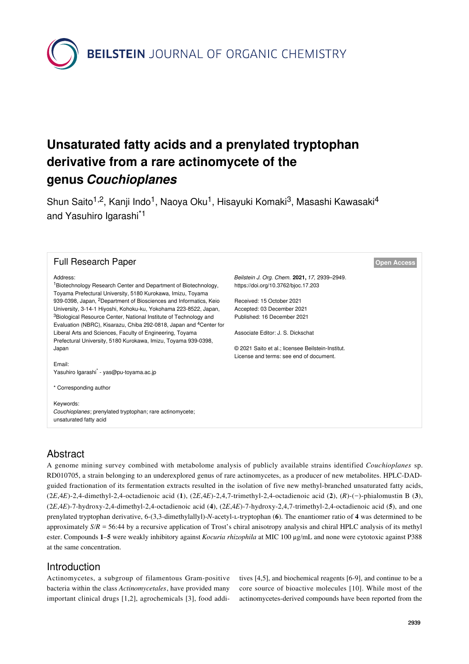**BEILSTEIN** JOURNAL OF ORGANIC CHEMISTRY

# **Unsaturated fatty acids and a prenylated tryptophan derivative from a rare actinomycete of the genus** *Couchioplanes*

Shun Saito<sup>1,2</sup>, Kanji Indo<sup>1</sup>, Naoya Oku<sup>1</sup>, Hisayuki Komaki<sup>3</sup>, Masashi Kawasaki<sup>4</sup> and Yasuhiro Igarashi<sup>\*1</sup>

#### Full Research Paper **[Open Access](https://www.beilstein-journals.org/bjoc/about/openAccess.htm)**

#### Address:

<sup>1</sup>Biotechnology Research Center and Department of Biotechnology, Toyama Prefectural University, 5180 Kurokawa, Imizu, Toyama 939-0398, Japan, 2Department of Biosciences and Informatics, Keio University, 3-14-1 Hiyoshi, Kohoku-ku, Yokohama 223-8522, Japan, <sup>3</sup>Biological Resource Center, National Institute of Technology and Evaluation (NBRC), Kisarazu, Chiba 292-0818, Japan and 4Center for Liberal Arts and Sciences, Faculty of Engineering, Toyama Prefectural University, 5180 Kurokawa, Imizu, Toyama 939-0398, Japan

Email: Yasuhiro Igarashi\* - [yas@pu-toyama.ac.jp](mailto:yas@pu-toyama.ac.jp)

\* Corresponding author

#### Keywords:

*Couchioplanes*; prenylated tryptophan; rare actinomycete; unsaturated fatty acid

*Beilstein J. Org. Chem.* **2021,** *17,* 2939–2949. <https://doi.org/10.3762/bjoc.17.203>

Received: 15 October 2021 Accepted: 03 December 2021 Published: 16 December 2021

Associate Editor: J. S. Dickschat

© 2021 Saito et al.; licensee Beilstein-Institut. License and terms: see end of document.

# Abstract

A genome mining survey combined with metabolome analysis of publicly available strains identified *Couchioplanes* sp. RD010705, a strain belonging to an underexplored genus of rare actinomycetes, as a producer of new metabolites. HPLC-DADguided fractionation of its fermentation extracts resulted in the isolation of five new methyl-branched unsaturated fatty acids, (2*E*,4*E*)-2,4-dimethyl-2,4-octadienoic acid (**1**), (2*E*,4*E*)-2,4,7-trimethyl-2,4-octadienoic acid (**2**), (*R*)-(−)-phialomustin B (**3**), (2*E*,4*E*)-7-hydroxy-2,4-dimethyl-2,4-octadienoic acid (**4**), (2*E*,4*E*)-7-hydroxy-2,4,7-trimethyl-2,4-octadienoic acid (**5**), and one prenylated tryptophan derivative, 6-(3,3-dimethylallyl)-*N*-acetyl-ʟ-tryptophan (**6**). The enantiomer ratio of **4** was determined to be approximately *S*/*R* = 56:44 by a recursive application of Trost's chiral anisotropy analysis and chiral HPLC analysis of its methyl ester. Compounds **1**–**5** were weakly inhibitory against *Kocuria rhizophila* at MIC 100 μg/mL and none were cytotoxic against P388 at the same concentration.

# Introduction

Actinomycetes, a subgroup of filamentous Gram-positive bacteria within the class *Actinomycetales*, have provided many important clinical drugs [\[1,2\]](#page-9-0), agrochemicals [\[3\]](#page-9-1), food addi-

tives [\[4,5\]](#page-9-2), and biochemical reagents [\[6-9\],](#page-9-3) and continue to be a core source of bioactive molecules [\[10\]](#page-9-4). While most of the actinomycetes-derived compounds have been reported from the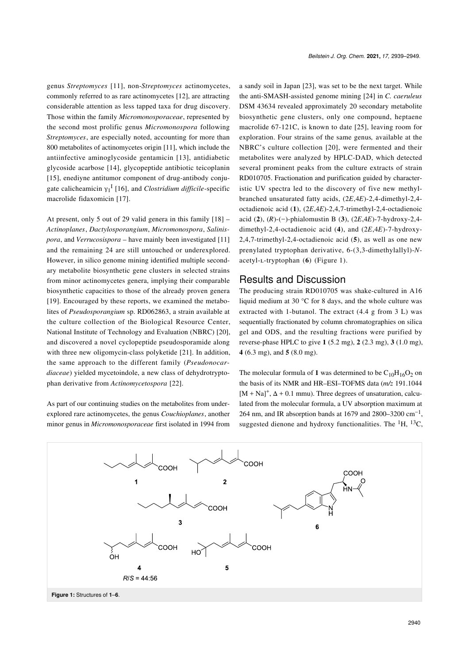*Beilstein J. Org. Chem.* **2021,** *17,* 2939–2949.

genus *Streptomyces* [\[11\]](#page-9-5), non-*Streptomyces* actinomycetes, commonly referred to as rare actinomycetes [\[12\]](#page-9-6), are attracting considerable attention as less tapped taxa for drug discovery. Those within the family *Micromonosporaceae*, represented by the second most prolific genus *Micromonospora* following *Streptomyces*, are especially noted, accounting for more than 800 metabolites of actinomycetes origin [\[11\]](#page-9-5), which include the antiinfective aminoglycoside gentamicin [\[13\],](#page-9-7) antidiabetic glycoside acarbose [\[14\]](#page-9-8), glycopeptide antibiotic teicoplanin [\[15\]](#page-9-9), enediyne antitumor component of drug-antibody conjugate calicheamicin γ<sup>1</sup> I [\[16\]](#page-9-10), and *Clostridium difficile*-specific macrolide fidaxomicin [\[17\]](#page-9-11).

At present, only 5 out of 29 valid genera in this family [\[18\]](#page-9-12) – *Actinoplanes*, *Dactylosporangium*, *Micromonospora*, *Salinispora*, and *Verrucosispora* – have mainly been investigated [\[11\]](#page-9-5) and the remaining 24 are still untouched or underexplored. However, in silico genome mining identified multiple secondary metabolite biosynthetic gene clusters in selected strains from minor actinomycetes genera, implying their comparable biosynthetic capacities to those of the already proven genera [\[19\]](#page-9-13). Encouraged by these reports, we examined the metabolites of *Pseudosporangium* sp. RD062863, a strain available at the culture collection of the Biological Resource Center, National Institute of Technology and Evaluation (NBRC) [\[20\]](#page-9-14), and discovered a novel cyclopeptide pseudosporamide along with three new oligomycin-class polyketide [\[21\]](#page-10-0). In addition, the same approach to the different family (*Pseudonocardiaceae*) yielded mycetoindole, a new class of dehydrotryptophan derivative from *Actinomycetospora* [\[22\]](#page-10-1).

As part of our continuing studies on the metabolites from underexplored rare actinomycetes, the genus *Couchioplanes*, another minor genus in *Micromonosporaceae* first isolated in 1994 from a sandy soil in Japan [\[23\]](#page-10-2), was set to be the next target. While the anti-SMASH-assisted genome mining [\[24\]](#page-10-3) in *C. caeruleus* DSM 43634 revealed approximately 20 secondary metabolite biosynthetic gene clusters, only one compound, heptaene macrolide 67-121C, is known to date [\[25\]](#page-10-4), leaving room for exploration. Four strains of the same genus*,* available at the NBRC's culture collection [\[20\]](#page-9-14), were fermented and their metabolites were analyzed by HPLC-DAD, which detected several prominent peaks from the culture extracts of strain RD010705. Fractionation and purification guided by characteristic UV spectra led to the discovery of five new methylbranched unsaturated fatty acids, (2*E*,4*E*)-2,4-dimethyl-2,4 octadienoic acid (**1**), (2*E*,4*E*)-2,4,7-trimethyl-2,4-octadienoic acid (**2**), (*R*)-(−)-phialomustin B (**3**), (2*E*,4*E*)-7-hydroxy-2,4 dimethyl-2,4-octadienoic acid (**4**), and (2*E*,4*E*)-7-hydroxy-2,4,7-trimethyl-2,4-octadienoic acid (**5**), as well as one new prenylated tryptophan derivative, 6-(3,3-dimethylallyl)-*N*acetyl-ʟ-tryptophan (**6**) [\(Figure 1](#page-1-0)).

# Results and Discussion

The producing strain RD010705 was shake-cultured in A16 liquid medium at 30  $^{\circ}$ C for 8 days, and the whole culture was extracted with 1-butanol. The extract (4.4 g from 3 L) was sequentially fractionated by column chromatographies on silica gel and ODS, and the resulting fractions were purified by reverse-phase HPLC to give **1** (5.2 mg), **2** (2.3 mg), **3** (1.0 mg), **4** (6.3 mg), and **5** (8.0 mg).

The molecular formula of 1 was determined to be  $C_{10}H_{16}O_2$  on the basis of its NMR and HR–ESI–TOFMS data (*m/z* 191.1044  $[M + Na]<sup>+</sup>,  $\Delta + 0.1$  mmu). Three degrees of unsaturation, calcu$ lated from the molecular formula, a UV absorption maximum at 264 nm, and IR absorption bands at 1679 and 2800–3200  $\text{cm}^{-1}$ , suggested dienone and hydroxy functionalities. The  ${}^{1}H$ ,  ${}^{13}C$ ,

<span id="page-1-0"></span>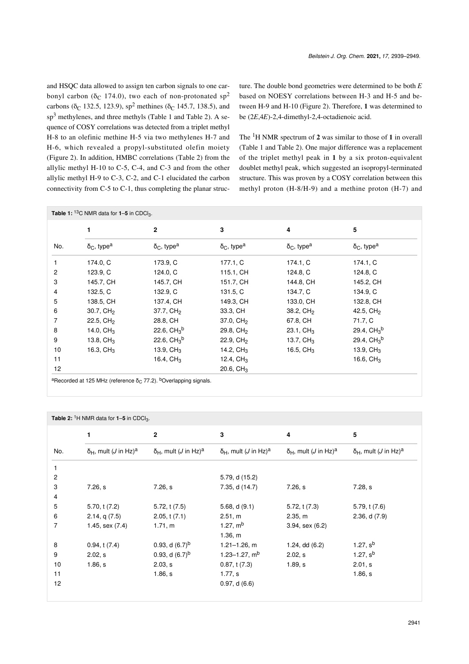and HSQC data allowed to assign ten carbon signals to one carbonyl carbon ( $\delta$ <sub>C</sub> 174.0), two each of non-protonated sp<sup>2</sup> carbons ( $\delta$ <sub>C</sub> 132.5, 123.9), sp<sup>2</sup> methines ( $\delta$ <sub>C</sub> 145.7, 138.5), and  $\text{sp}^3$  methylenes, and three methyls ([Table 1](#page-2-0) and [Table 2\)](#page-2-1). A sequence of COSY correlations was detected from a triplet methyl H-8 to an olefinic methine H-5 via two methylenes H-7 and H-6, which revealed a propyl-substituted olefin moiety ([Figure 2\)](#page-3-0). In addition, HMBC correlations ([Table 2](#page-2-1)) from the allylic methyl H-10 to C-5, C-4, and C-3 and from the other allylic methyl H-9 to C-3, C-2, and C-1 elucidated the carbon connectivity from C-5 to C-1, thus completing the planar structure. The double bond geometries were determined to be both *E* based on NOESY correlations between H-3 and H-5 and between H-9 and H-10 [\(Figure 2\)](#page-3-0). Therefore, **1** was determined to be (2*E*,4*E*)-2,4-dimethyl-2,4-octadienoic acid.

The 1H NMR spectrum of **2** was similar to those of **1** in overall ([Table 1](#page-2-0) and [Table 2\)](#page-2-1). One major difference was a replacement of the triplet methyl peak in **1** by a six proton-equivalent doublet methyl peak, which suggested an isopropyl-terminated structure. This was proven by a COSY correlation between this methyl proton (H-8/H-9) and a methine proton (H-7) and

<span id="page-2-0"></span>

|     | 1                                    | $\mathbf{2}$                         | 3                                    | 4                                    | 5                                |
|-----|--------------------------------------|--------------------------------------|--------------------------------------|--------------------------------------|----------------------------------|
| No. | $\delta_{\rm C}$ , type <sup>a</sup> | $\delta_{\rm C}$ , type <sup>a</sup> | $\delta_{\rm C}$ , type <sup>a</sup> | $\delta_{\rm C}$ , type <sup>a</sup> | $\delta_{C}$ , type <sup>a</sup> |
|     | 174.0, C                             | 173.9, C                             | 177.1, C                             | 174.1, C                             | 174.1, C                         |
| 2   | 123.9, C                             | 124.0, C                             | 115.1, CH                            | 124.8, C                             | 124.8, C                         |
| 3   | 145.7, CH                            | 145.7, CH                            | 151.7, CH                            | 144.8, CH                            | 145.2, CH                        |
| 4   | 132.5, C                             | 132.9, C                             | 131.5, C                             | 134.7, C                             | 134.9, C                         |
| 5   | 138.5, CH                            | 137.4, CH                            | 149.3, CH                            | 133.0, CH                            | 132.8, CH                        |
| 6   | 30.7, CH <sub>2</sub>                | 37.7, CH <sub>2</sub>                | 33.3, CH                             | 38.2, CH <sub>2</sub>                | 42.5, $CH2$                      |
| 7   | $22.5, \, \text{CH}_2$               | 28.8, CH                             | $37.0, \, \text{CH}_2$               | 67.8, CH                             | 71.7, C                          |
| 8   | 14.0, CH <sub>3</sub>                | 22.6, $CH3b$                         | 29.8, CH <sub>2</sub>                | 23.1, $CH3$                          | 29.4, $CH3b$                     |
| 9   | 13.8, $CH3$                          | 22.6, $CH3^{b}$                      | $22.9, \text{CH}_2$                  | 13.7, $CH3$                          | 29.4, $CH3$ <sup>b</sup>         |
| 10  | 16.3, $CH3$                          | 13.9, $CH3$                          | 14.2, $CH3$                          | 16.5, $CH3$                          | 13.9, $CH3$                      |
| 11  |                                      | 16.4, $CH3$                          | 12.4, $CH3$                          |                                      | 16.6, $CH3$                      |
| 12  |                                      |                                      | 20.6, $CH3$                          |                                      |                                  |

<sup>a</sup>Recorded at 125 MHz (reference δ<sub>C</sub> 77.2). <sup>b</sup>Overlapping signals.

<span id="page-2-1"></span>

|                | Table 2: <sup>1</sup> H NMR data for $1-5$ in CDCl <sub>3</sub> . |                                                  |                                                             |                                                             |                                             |
|----------------|-------------------------------------------------------------------|--------------------------------------------------|-------------------------------------------------------------|-------------------------------------------------------------|---------------------------------------------|
|                | 1                                                                 | $\mathbf{2}$                                     | 3                                                           | 4                                                           | 5                                           |
| No.            | $\delta_H$ , mult ( <i>J</i> in Hz) <sup>a</sup>                  | $\delta_H$ , mult ( <i>J</i> in Hz) <sup>a</sup> | $\delta$ <sub>H</sub> , mult ( <i>J</i> in Hz) <sup>a</sup> | $\delta$ <sub>H</sub> , mult ( <i>J</i> in Hz) <sup>a</sup> | $δ_H$ , mult ( <i>J</i> in Hz) <sup>a</sup> |
|                |                                                                   |                                                  |                                                             |                                                             |                                             |
| $\overline{c}$ |                                                                   |                                                  | 5.79, d (15.2)                                              |                                                             |                                             |
| 3              | 7.26, s                                                           | 7.26, s                                          | 7.35, d (14.7)                                              | 7.26, s                                                     | 7.28, s                                     |
| 4              |                                                                   |                                                  |                                                             |                                                             |                                             |
| 5              | 5.70, t(7.2)                                                      | 5.72, t(7.5)                                     | 5.68, $d(9.1)$                                              | 5.72, t(7.3)                                                | 5.79, t(7.6)                                |
| 6              | 2.14, q(7.5)                                                      | 2.05, t(7.1)                                     | 2.51, m                                                     | 2.35, m                                                     | 2.36, d(7.9)                                |
| 7              | 1.45, sex (7.4)                                                   | 1.71, m                                          | 1.27, $mb$                                                  | $3.94$ , sex $(6.2)$                                        |                                             |
|                |                                                                   |                                                  | 1.36, m                                                     |                                                             |                                             |
| 8              | 0.94, t(7.4)                                                      | 0.93, d $(6.7)^b$                                | $1.21 - 1.26$ , m                                           | $1.24$ , dd $(6.2)$                                         | 1.27, $s^b$                                 |
| 9              | 2.02, s                                                           | 0.93, d $(6.7)^b$                                | 1.23-1.27, $mb$                                             | 2.02, s                                                     | 1.27, $s^b$                                 |
| 10             | 1.86, s                                                           | 2.03, s                                          | 0.87, t(7.3)                                                | $1.89$ , s                                                  | 2.01, s                                     |
| 11             |                                                                   | 1.86, s                                          | 1.77, s                                                     |                                                             | 1.86, s                                     |
| 12             |                                                                   |                                                  | 0.97, d(6.6)                                                |                                                             |                                             |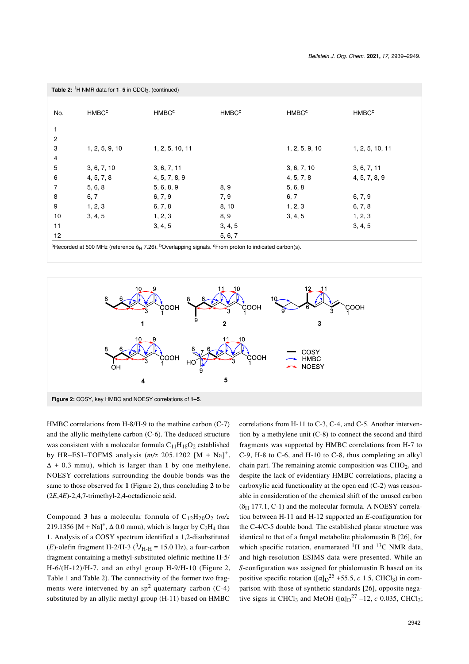|                | <b>Table 2:</b> <sup>1</sup> H NMR data for $1-5$ in CDCl <sub>3</sub> . (continued) |                         |                         |                         |                         |
|----------------|--------------------------------------------------------------------------------------|-------------------------|-------------------------|-------------------------|-------------------------|
|                |                                                                                      |                         |                         |                         |                         |
| No.            | <b>HMBC<sup>c</sup></b>                                                              | <b>HMBC<sup>c</sup></b> | <b>HMBC<sup>c</sup></b> | <b>HMBC<sup>c</sup></b> | <b>HMBC<sup>c</sup></b> |
| $\mathbf{1}$   |                                                                                      |                         |                         |                         |                         |
| 2              |                                                                                      |                         |                         |                         |                         |
| 3              | 1, 2, 5, 9, 10                                                                       | 1, 2, 5, 10, 11         |                         | 1, 2, 5, 9, 10          | 1, 2, 5, 10, 11         |
| 4              |                                                                                      |                         |                         |                         |                         |
| 5              | 3, 6, 7, 10                                                                          | 3, 6, 7, 11             |                         | 3, 6, 7, 10             | 3, 6, 7, 11             |
| 6              | 4, 5, 7, 8                                                                           | 4, 5, 7, 8, 9           |                         | 4, 5, 7, 8              | 4, 5, 7, 8, 9           |
| $\overline{7}$ | 5, 6, 8                                                                              | 5, 6, 8, 9              | 8, 9                    | 5, 6, 8                 |                         |
| 8              | 6, 7                                                                                 | 6, 7, 9                 | 7, 9                    | 6, 7                    | 6, 7, 9                 |
| 9              | 1, 2, 3                                                                              | 6, 7, 8                 | 8, 10                   | 1, 2, 3                 | 6, 7, 8                 |
| $10$           | 3, 4, 5                                                                              | 1, 2, 3                 | 8, 9                    | 3, 4, 5                 | 1, 2, 3                 |
| 11             |                                                                                      | 3, 4, 5                 | 3, 4, 5                 |                         | 3, 4, 5                 |
| 12             |                                                                                      |                         | 5, 6, 7                 |                         |                         |

<span id="page-3-0"></span><sup>a</sup>Recorded at 500 MHz (reference δ<sub>H</sub> 7.26). <sup>b</sup>Overlapping signals. <sup>c</sup>From proton to indicated carbon(s).



HMBC correlations from H-8/H-9 to the methine carbon (C-7) and the allylic methylene carbon (C-6). The deduced structure was consistent with a molecular formula  $C_{11}H_{18}O_2$  established by HR-ESI-TOFMS analysis  $(m/z 205.1202 [M + Na]<sup>+</sup>$ ,  $\Delta$  + 0.3 mmu), which is larger than 1 by one methylene. NOESY correlations surrounding the double bonds was the same to those observed for **1** ([Figure 2](#page-3-0)), thus concluding **2** to be (2*E*,4*E*)-2,4,7-trimethyl-2,4-octadienoic acid.

Compound 3 has a molecular formula of  $C_{12}H_{20}O_2$  (*m/z* 219.1356 [M + Na]<sup>+</sup>,  $\Delta$  0.0 mmu), which is larger by C<sub>2</sub>H<sub>4</sub> than **1**. Analysis of a COSY spectrum identified a 1,2-disubstituted  $(E)$ -olefin fragment H-2/H-3 ( ${}^{3}J_{\text{H-H}}$  = 15.0 Hz), a four-carbon fragment containing a methyl-substituted olefinic methine H-5/  $H-6/(H-12)/H-7$ , and an ethyl group  $H-9/H-10$  ([Figure 2](#page-3-0), [Table 1](#page-2-0) and [Table 2](#page-2-1)). The connectivity of the former two fragments were intervened by an  $sp<sup>2</sup>$  quaternary carbon (C-4) substituted by an allylic methyl group (H-11) based on HMBC

correlations from H-11 to C-3, C-4, and C-5. Another intervention by a methylene unit (C-8) to connect the second and third fragments was supported by HMBC correlations from H-7 to C-9, H-8 to C-6, and H-10 to C-8, thus completing an alkyl chain part. The remaining atomic composition was  $CHO<sub>2</sub>$ , and despite the lack of evidentiary HMBC correlations, placing a carboxylic acid functionality at the open end (C-2) was reasonable in consideration of the chemical shift of the unused carbon  $(\delta_H 177.1, C-1)$  and the molecular formula. A NOESY correlation between H-11 and H-12 supported an *E*-configuration for the C-4/C-5 double bond. The established planar structure was identical to that of a fungal metabolite phialomustin B [\[26\]](#page-10-5), for which specific rotation, enumerated  ${}^{1}H$  and  ${}^{13}C$  NMR data, and high-resolution ESIMS data were presented. While an *S*-configuration was assigned for phialomustin B based on its positive specific rotation  $([\alpha]_D^2^5 + 55.5, c \ 1.5, CHCl_3)$  in comparison with those of synthetic standards [\[26\]](#page-10-5), opposite negative signs in CHCl<sub>3</sub> and MeOH  $([\alpha]_D^2$ <sup>7</sup> –12, *c* 0.035, CHCl<sub>3</sub>;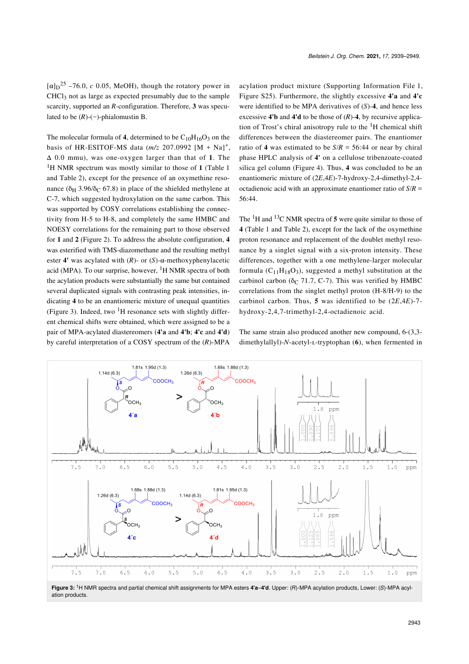$[\alpha]_{D}^{25}$  –76.0, *c* 0.05, MeOH), though the rotatory power in  $CHCl<sub>3</sub>$  not as large as expected presumably due to the sample scarcity, supported an *R*-configuration. Therefore, **3** was speculated to be  $(R)$ - $(-)$ -phialomustin B.

The molecular formula of 4, determined to be  $C_{10}H_{16}O_3$  on the basis of HR-ESITOF-MS data  $(m/z 207.0992 [M + Na]<sup>+</sup>$ , Δ 0.0 mmu), was one-oxygen larger than that of **1**. The <sup>1</sup>H NMR spectrum was mostly similar to those of **1** ([Table 1](#page-2-0) and [Table 2](#page-2-1)), except for the presence of an oxymethine resonance (δ<sub>H</sub> 3.96/δ<sub>C</sub> 67.8) in place of the shielded methylene at C-7, which suggested hydroxylation on the same carbon. This was supported by COSY correlations establishing the connectivity from H-5 to H-8, and completely the same HMBC and NOESY correlations for the remaining part to those observed for **1** and **2** [\(Figure 2](#page-3-0)). To address the absolute configuration, **4** was esterified with TMS-diazomethane and the resulting methyl ester **4'** was acylated with (*R*)- or (*S*)-α-methoxyphenylacetic acid (MPA). To our surprise, however,  ${}^{1}H$  NMR spectra of both the acylation products were substantially the same but contained several duplicated signals with contrasting peak intensities, indicating **4** to be an enantiomeric mixture of unequal quantities ([Figure 3\)](#page-4-0). Indeed, two  ${}^{1}H$  resonance sets with slightly different chemical shifts were obtained, which were assigned to be a pair of MPA-acylated diastereomers (**4'a** and **4'b**; **4'c** and **4'd**) by careful interpretation of a COSY spectrum of the (*R*)-MPA

acylation product mixture ([Supporting Information File 1](#page-9-15), Figure S25). Furthermore, the slightly excessive **4'a** and **4'c** were identified to be MPA derivatives of (*S*)-**4**, and hence less excessive **4'b** and **4'd** to be those of (*R*)-**4**, by recursive application of Trost's chiral anisotropy rule to the  ${}^{1}H$  chemical shift differences between the diastereomer pairs. The enantiomer ratio of 4 was estimated to be  $S/R = 56:44$  or near by chiral phase HPLC analysis of **4'** on a cellulose tribenzoate-coated silica gel column ([Figure 4](#page-5-0)). Thus, **4** was concluded to be an enantiomeric mixture of (2*E*,4*E*)-7-hydroxy-2,4-dimethyl-2,4 octadienoic acid with an approximate enantiomer ratio of *S*/*R* = 56:44.

The  ${}^{1}H$  and  ${}^{13}C$  NMR spectra of 5 were quite similar to those of **4** ([Table 1](#page-2-0) and [Table 2](#page-2-1)), except for the lack of the oxymethine proton resonance and replacement of the doublet methyl resonance by a singlet signal with a six-proton intensity. These differences, together with a one methylene-larger molecular formula  $(C_{11}H_{18}O_3)$ , suggested a methyl substitution at the carbinol carbon ( $\delta$ C 71.7, C-7). This was verified by HMBC correlations from the singlet methyl proton (H-8/H-9) to the carbinol carbon. Thus, **5** was identified to be (2*E*,4*E*)-7 hydroxy-2,4,7-trimethyl-2,4-octadienoic acid.

The same strain also produced another new compound, 6-(3,3 dimethylallyl)-*N*-acetyl-ʟ-tryptophan (**6**), when fermented in

<span id="page-4-0"></span>

ation products.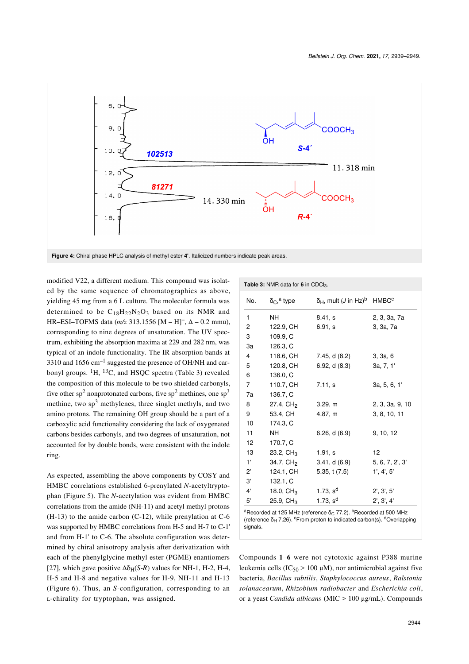<span id="page-5-0"></span>

modified V22, a different medium. This compound was isolated by the same sequence of chromatographies as above, yielding 45 mg from a 6 L culture. The molecular formula was determined to be  $C_{18}H_{22}N_2O_3$  based on its NMR and HR–ESI–TOFMS data (*m/z* 313.1556 [M – H]– , Δ – 0.2 mmu), corresponding to nine degrees of unsaturation. The UV spectrum, exhibiting the absorption maxima at 229 and 282 nm, was typical of an indole functionality. The IR absorption bands at 3310 and 1656  $cm^{-1}$  suggested the presence of OH/NH and carbonyl groups.  ${}^{1}H$ ,  ${}^{13}C$ , and HSQC spectra [\(Table 3\)](#page-5-1) revealed the composition of this molecule to be two shielded carbonyls, five other sp<sup>2</sup> nonprotonated carbons, five sp<sup>2</sup> methines, one sp<sup>3</sup> methine, two  $sp<sup>3</sup>$  methylenes, three singlet methyls, and two amino protons. The remaining OH group should be a part of a carboxylic acid functionality considering the lack of oxygenated carbons besides carbonyls, and two degrees of unsaturation, not accounted for by double bonds, were consistent with the indole ring.

As expected, assembling the above components by COSY and HMBC correlations established 6-prenylated *N*-acetyltryptophan ([Figure 5](#page-6-0)). The *N*-acetylation was evident from HMBC correlations from the amide (NH-11) and acetyl methyl protons (H-13) to the amide carbon (C-12), while prenylation at C-6 was supported by HMBC correlations from H-5 and H-7 to C-1' and from H-1' to C-6. The absolute configuration was determined by chiral anisotropy analysis after derivatization with each of the phenylglycine methyl ester (PGME) enantiomers [\[27\],](#page-10-6) which gave positive  $\Delta \delta_H(S-R)$  values for NH-1, H-2, H-4, H-5 and H-8 and negative values for H-9, NH-11 and H-13 ([Figure 6](#page-6-1)). Thus, an *S*-configuration, corresponding to an ʟ-chirality for tryptophan, was assigned.

<span id="page-5-1"></span>

| <b>Table 3:</b> NMR data for 6 in CDCl <sub>3</sub> .                        |                                           |                                                                    |                 |  |
|------------------------------------------------------------------------------|-------------------------------------------|--------------------------------------------------------------------|-----------------|--|
| No.                                                                          | $\delta$ <sub>C</sub> , <sup>a</sup> type | $\delta_H$ , mult ( <i>J</i> in Hz) <sup>b</sup> HMBC <sup>c</sup> |                 |  |
| 1                                                                            | NΗ                                        | 8.41, s                                                            | 2, 3, 3a, 7a    |  |
| 2                                                                            | 122.9, CH                                 | 6.91, s                                                            | 3, 3a, 7a       |  |
| 3                                                                            | 109.9, C                                  |                                                                    |                 |  |
| 3a                                                                           | 126.3, C                                  |                                                                    |                 |  |
| $\overline{4}$                                                               | 118.6, CH                                 | 7.45, d (8.2)                                                      | 3, 3a, 6        |  |
| 5                                                                            | 120.8, CH                                 | 6.92, d(8.3)                                                       | 3a, 7, 1'       |  |
| 6                                                                            | 136.0, C                                  |                                                                    |                 |  |
| $\overline{7}$                                                               | 110.7, CH                                 | 7.11, s                                                            | 3a, 5, 6, 1'    |  |
| 7a                                                                           | 136.7, C                                  |                                                                    |                 |  |
| 8                                                                            | 27.4, CH <sub>2</sub>                     | 3.29, m                                                            | 2, 3, 3a, 9, 10 |  |
| 9                                                                            | 53.4, CH                                  | 4.87, m                                                            | 3, 8, 10, 11    |  |
| 10                                                                           | 174.3, C                                  |                                                                    |                 |  |
| 11                                                                           | NΗ                                        | 6.26, d(6.9)                                                       | 9, 10, 12       |  |
| 12                                                                           | 170.7, C                                  |                                                                    |                 |  |
| 13                                                                           | 23.2, $CH3$                               | 1.91, s                                                            | 12              |  |
| $1^{\circ}$                                                                  | 34.7, CH <sub>2</sub>                     | 3.41, d(6.9)                                                       | 5, 6, 7, 2', 3' |  |
| $2^{\circ}$                                                                  | 124.1, CH                                 | 5.35, t(7.5)                                                       | 1', 4', 5'      |  |
| 3'                                                                           | 132.1, C                                  |                                                                    |                 |  |
| $4^{\prime}$                                                                 | 18.0, $CH_3$                              | 1.73, $s^{d}$                                                      | 2', 3', 5'      |  |
| 5'                                                                           | 25.9, CH <sub>3</sub>                     | 1.73, $s^{d}$                                                      | 2', 3', 4'      |  |
| $3D$ cocrdod et 105 ML = (reference $\Sigma$ $77.0$ ) DD secrdod et 500 ML = |                                           |                                                                    |                 |  |

orded at 125 MHz (reference δ<sub>C</sub> 77.2). <sup>b</sup>Recorded at l (reference  $\delta_H$  7.26). <sup>c</sup>From proton to indicated carbon(s). <sup>d</sup>Overlapping signals

Compounds **1**–**6** were not cytotoxic against P388 murine leukemia cells ( $IC_{50}$  > 100  $\mu$ M), nor antimicrobial against five bacteria, *Bacillus subtilis*, *Staphylococcus aureus*, *Ralstonia solanacearum*, *Rhizobium radiobacter* and *Escherichia coli*, or a yeast *Candida albicans* (MIC > 100 μg/mL). Compounds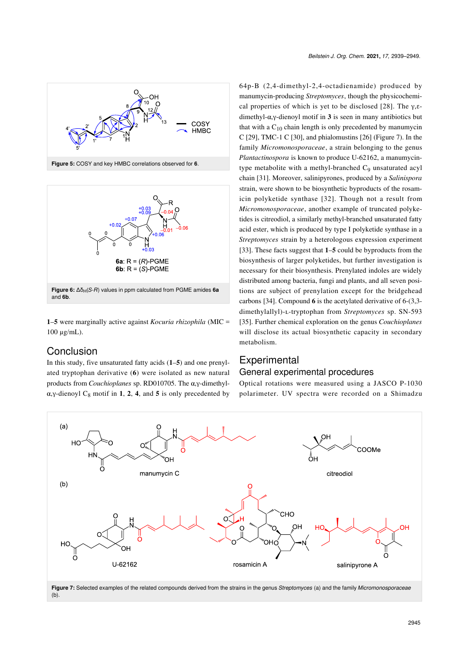<span id="page-6-0"></span>

<span id="page-6-1"></span>

**Figure 6:**  $Δδ<sub>H</sub>(S-R)$  values in ppm calculated from PGME amides 6a and **6b**.

**1**–**5** were marginally active against *Kocuria rhizophila* (MIC = 100 μg/mL).

# Conclusion

In this study, five unsaturated fatty acids (**1**–**5**) and one prenylated tryptophan derivative (**6**) were isolated as new natural products from *Couchioplanes* sp. RD010705. The α,γ-dimethyl- $\alpha$ ,  $\gamma$ -dienoyl  $C_8$  motif in **1**, **2**, **4**, and **5** is only precedented by

64p-B (2,4-dimethyl-2,4-octadienamide) produced by manumycin-producing *Streptomyces*, though the physicochemi-cal properties of which is yet to be disclosed [\[28\]](#page-10-7). The  $\gamma$ , $\varepsilon$ dimethyl-α,γ-dienoyl motif in **3** is seen in many antibiotics but that with a  $C_{10}$  chain length is only precedented by manumycin C [\[29\],](#page-10-8) TMC-1 C [\[30\]](#page-10-9), and phialomustins [\[26\]](#page-10-5) ([Figure 7](#page-6-2)). In the family *Micromonosporaceae*, a strain belonging to the genus *Plantactinospora* is known to produce U-62162, a manumycintype metabolite with a methyl-branched C<sub>9</sub> unsaturated acyl chain [\[31\].](#page-10-10) Moreover, salinipyrones, produced by a *Salinispora* strain, were shown to be biosynthetic byproducts of the rosamicin polyketide synthase [\[32\]](#page-10-11). Though not a result from *Micromonosporaceae*, another example of truncated polyketides is citreodiol, a similarly methyl-branched unsaturated fatty acid ester, which is produced by type I polyketide synthase in a *Streptomyces* strain by a heterologous expression experiment [\[33\].](#page-10-12) These facts suggest that **1**–**5** could be byproducts from the biosynthesis of larger polyketides, but further investigation is necessary for their biosynthesis. Prenylated indoles are widely distributed among bacteria, fungi and plants, and all seven positions are subject of prenylation except for the bridgehead carbons [\[34\].](#page-10-13) Compound **6** is the acetylated derivative of 6-(3,3 dimethylallyl)-ʟ-tryptophan from *Streptomyces* sp. SN-593 [\[35\].](#page-10-14) Further chemical exploration on the genus *Couchioplanes* will disclose its actual biosynthetic capacity in secondary metabolism.

# **Experimental**

#### General experimental procedures

Optical rotations were measured using a JASCO P-1030 polarimeter. UV spectra were recorded on a Shimadzu

<span id="page-6-2"></span>

(b).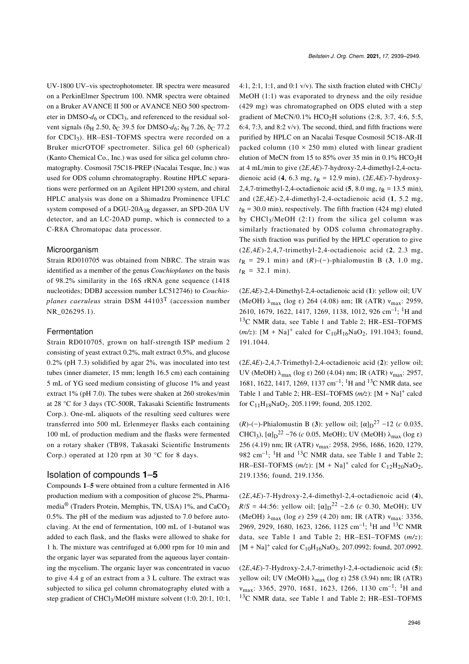UV-1800 UV–vis spectrophotometer. IR spectra were measured on a PerkinElmer Spectrum 100. NMR spectra were obtained on a Bruker AVANCE II 500 or AVANCE NEO 500 spectrometer in DMSO- $d_6$  or CDCl<sub>3</sub>, and referenced to the residual solvent signals ( $\delta$ <sub>H</sub> 2.50,  $\delta$ <sub>C</sub> 39.5 for DMSO- $d_6$ ;  $\delta$ <sub>H</sub> 7.26,  $\delta$ <sub>C</sub> 77.2 for  $CDCl<sub>3</sub>$ ). HR-ESI-TOFMS spectra were recorded on a Bruker micrOTOF spectrometer. Silica gel 60 (spherical) (Kanto Chemical Co., Inc.) was used for silica gel column chromatography. Cosmosil 75C18-PREP (Nacalai Tesque, Inc.) was used for ODS column chromatography. Routine HPLC separations were performed on an Agilent HP1200 system, and chiral HPLC analysis was done on a Shimadzu Prominence UFLC system composed of a DGU-20A<sub>3R</sub> degasser, an SPD-20A UV detector, and an LC-20AD pump, which is connected to a C-R8A Chromatopac data processor.

#### Microorganism

Strain RD010705 was obtained from NBRC. The strain was identified as a member of the genus *Couchioplanes* on the basis of 98.2% similarity in the 16S rRNA gene sequence (1418 nucleotides; DDBJ accession number LC512746) to *Couchioplanes caeruleus* strain DSM 44103T (accession number NR\_026295.1).

#### Fermentation

Strain RD010705, grown on half-strength ISP medium 2 consisting of yeast extract 0.2%, malt extract 0.5%, and glucose 0.2% (pH 7.3) solidified by agar 2%, was inoculated into test tubes (inner diameter, 15 mm; length 16.5 cm) each containing 5 mL of YG seed medium consisting of glucose 1% and yeast extract 1% (pH 7.0). The tubes were shaken at 260 strokes/min at 28 °C for 3 days (TC-500R, Takasaki Scientific Instruments Corp.). One-mL aliquots of the resulting seed cultures were transferred into 500 mL Erlenmeyer flasks each containing 100 mL of production medium and the flasks were fermented on a rotary shaker (TB98, Takasaki Scientific Instruments Corp.) operated at 120 rpm at 30 °C for 8 days.

#### Isolation of compounds **1**–**5**

Compounds **1**–**5** were obtained from a culture fermented in A16 production medium with a composition of glucose 2%, Pharmamedia<sup>®</sup> (Traders Protein, Memphis, TN, USA) 1%, and CaCO<sub>3</sub> 0.5%. The pH of the medium was adjusted to 7.0 before autoclaving. At the end of fermentation, 100 mL of 1-butanol was added to each flask, and the flasks were allowed to shake for 1 h. The mixture was centrifuged at 6,000 rpm for 10 min and the organic layer was separated from the aqueous layer containing the mycelium. The organic layer was concentrated in vacuo to give 4.4 g of an extract from a 3 L culture. The extract was subjected to silica gel column chromatography eluted with a step gradient of CHCl<sup>3</sup> /MeOH mixture solvent (1:0, 20:1, 10:1,

4:1, 2:1, 1:1, and 0:1 v/v). The sixth fraction eluted with CHCl $_3$ / MeOH (1:1) was evaporated to dryness and the oily residue (429 mg) was chromatographed on ODS eluted with a step gradient of MeCN/0.1% HCO<sub>2</sub>H solutions (2:8, 3:7, 4:6, 5:5, 6:4, 7:3, and 8:2 v/v). The second, third, and fifth fractions were purified by HPLC on an Nacalai Tesque Cosmosil 5C18-AR-II packed column ( $10 \times 250$  mm) eluted with linear gradient elution of MeCN from 15 to 85% over 35 min in  $0.1\%$  HCO<sub>2</sub>H at 4 mL/min to give (2*E*,4*E*)-7-hydroxy-2,4-dimethyl-2,4-octadienoic acid (4, 6.3 mg,  $t_R = 12.9$  min), (2*E*,4*E*)-7-hydroxy-2,4,7-trimethyl-2,4-octadienoic acid (5, 8.0 mg,  $t_R$  = 13.5 min), and (2*E*,4*E*)-2,4-dimethyl-2,4-octadienoic acid (**1**, 5.2 mg,  $t<sub>R</sub>$  = 30.0 min), respectively. The fifth fraction (424 mg) eluted by CHCl3/MeOH (2:1) from the silica gel column was similarly fractionated by ODS column chromatography. The sixth fraction was purified by the HPLC operation to give (2*E*,4*E*)-2,4,7-trimethyl-2,4-octadienoic acid (**2**, 2.3 mg,  $t<sub>R</sub>$  = 29.1 min) and (*R*)-(−)-phialomustin B (3, 1.0 mg,  $t_{\rm R}$  = 32.1 min).

(2*E*,4*E*)-2,4-Dimethyl-2,4-octadienoic acid (**1**): yellow oil; UV (MeOH)  $\lambda_{\text{max}}$  (log ε) 264 (4.08) nm; IR (ATR)  $v_{\text{max}}$ : 2959, 2610, 1679, 1622, 1417, 1269, 1138, 1012, 926 cm–1; 1H and <sup>13</sup>C NMR data, see [Table 1](#page-2-0) and [Table 2](#page-2-1); HR–ESI–TOFMS  $(m/z)$ : [M + Na]<sup>+</sup> calcd for C<sub>10</sub>H<sub>16</sub>NaO<sub>2</sub>, 191.1043; found, 191.1044.

(2*E*,4*E*)-2,4,7-Trimethyl-2,4-octadienoic acid (**2**): yellow oil; UV (MeOH)  $\lambda_{\text{max}}$  (log ε) 260 (4.04) nm; IR (ATR)  $v_{\text{max}}$ : 2957, 1681, 1622, 1417, 1269, 1137 cm–1; 1H and 13C NMR data, see [Table 1](#page-2-0) and [Table 2](#page-2-1);  $HR-ESI-TOFMS(m/z): [M + Na]^{+}$  calcd for  $C_{11}H_{18}NaO_2$ , 205.1199; found, 205.1202.

 $(R)$ -(−)-Phialomustin B (3): yellow oil;  $[\alpha]_D^{27}$  –12 (*c* 0.035, CHCl<sub>3</sub>), [α]<sub>D</sub><sup>22</sup> −76 (*c* 0.05, MeOH); UV (MeOH) λ<sub>max</sub> (log ε) 256 (4.19) nm; IR (ATR)  $v_{\text{max}}$ : 2958, 2956, 1686, 1620, 1279, 982 cm<sup>-1</sup>; <sup>1</sup>H and <sup>13</sup>C NMR data, see [Table 1](#page-2-0) and [Table 2](#page-2-1); HR-ESI-TOFMS  $(m/z)$ :  $[M + Na]$ <sup>+</sup> calcd for C<sub>12</sub>H<sub>20</sub>NaO<sub>2</sub>, 219.1356; found, 219.1356.

(2*E*,4*E*)-7-Hydroxy-2,4-dimethyl-2,4-octadienoic acid (**4**),  $R/S = 44:56$ : yellow oil;  $[\alpha]_{D}^{22}$  –2.6 (*c* 0.30, MeOH); UV (MeOH)  $\lambda_{\text{max}}$  (log *ε*) 259 (4.20) nm; IR (ATR)  $v_{\text{max}}$ : 3356, 2969, 2929, 1680, 1623, 1266, 1125 cm<sup>-1</sup>; <sup>1</sup>H and <sup>13</sup>C NMR data, see [Table 1](#page-2-0) and [Table 2](#page-2-1); HR–ESI–TOFMS (*m/z*):  $[M + Na]^{+}$  calcd for  $C_{10}H_{16}NaO_3$ , 207.0992; found, 207.0992.

(2*E*,4*E*)-7-Hydroxy-2,4,7-trimethyl-2,4-octadienoic acid (**5**): yellow oil; UV (MeOH) λmax (log ε) 258 (3.94) nm; IR (ATR)  $v_{\text{max}}$ : 3365, 2970, 1681, 1623, 1266, 1130 cm<sup>-1</sup>; <sup>1</sup>H and <sup>13</sup>C NMR data, see [Table 1](#page-2-0) and [Table 2](#page-2-1); HR-ESI-TOFMS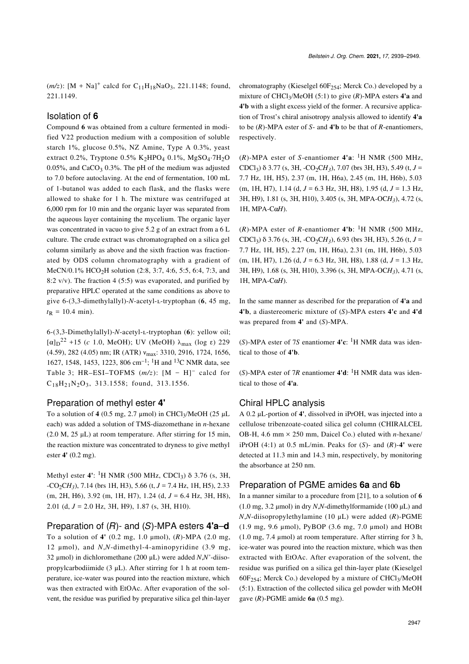$(m/z)$ : [M + Na]<sup>+</sup> calcd for C<sub>11</sub>H<sub>18</sub>NaO<sub>3</sub>, 221.1148; found, 221.1149.

### Isolation of **6**

Compound **6** was obtained from a culture fermented in modified V22 production medium with a composition of soluble starch 1%, glucose 0.5%, NZ Amine, Type A 0.3%, yeast extract 0.2%, Tryptone 0.5% K<sub>2</sub>HPO<sub>4</sub> 0.1%, MgSO<sub>4</sub>.7H<sub>2</sub>O 0.05%, and  $CaCO<sub>3</sub>$  0.3%. The pH of the medium was adjusted to 7.0 before autoclaving. At the end of fermentation, 100 mL of 1-butanol was added to each flask, and the flasks were allowed to shake for 1 h. The mixture was centrifuged at 6,000 rpm for 10 min and the organic layer was separated from the aqueous layer containing the mycelium. The organic layer was concentrated in vacuo to give 5.2 g of an extract from a 6 L culture. The crude extract was chromatographed on a silica gel column similarly as above and the sixth fraction was fractionated by ODS column chromatography with a gradient of MeCN/0.1% HCO<sub>2</sub>H solution (2:8, 3:7, 4:6, 5:5, 6:4, 7:3, and 8:2 v/v). The fraction 4 (5:5) was evaporated, and purified by preparative HPLC operated at the same conditions as above to give 6-(3,3-dimethylallyl)-*N*-acetyl-ʟ-tryptophan (**6**, 45 mg,  $t_{\rm R}$  = 10.4 min).

6-(3,3-Dimethylallyl)-*N*-acetyl-ʟ-tryptophan (**6**): yellow oil; [α]<sub>D</sub><sup>22</sup> +15 (*c* 1.0, MeOH); UV (MeOH) λ<sub>max</sub> (log ε) 229 (4.59), 282 (4.05) nm; IR (ATR) νmax: 3310, 2916, 1724, 1656, 1627, 1548, 1453, 1223, 806 cm–1; 1H and 13C NMR data, see [Table 3](#page-5-1); HR–ESI–TOFMS  $(m/z)$ :  $[M - H]$ <sup>-</sup> calcd for  $C_{18}H_{21}N_2O_3$ , 313.1558; found, 313.1556.

#### Preparation of methyl ester **4'**

To a solution of  $4$  (0.5 mg, 2.7 μmol) in CHCl<sub>3</sub>/MeOH (25 μL each) was added a solution of TMS-diazomethane in *n*-hexane (2.0 M, 25 μL) at room temperature. After stirring for 15 min, the reaction mixture was concentrated to dryness to give methyl ester **4'** (0.2 mg).

Methyl ester **4'**: <sup>1</sup>H NMR (500 MHz, CDCl<sub>3</sub>) δ 3.76 (s, 3H, -CO2C*H<sup>3</sup>* ), 7.14 (brs 1H, H3), 5.66 (t, *J* = 7.4 Hz, 1H, H5), 2.33 (m, 2H, H6), 3.92 (m, 1H, H7), 1.24 (d, *J* = 6.4 Hz, 3H, H8), 2.01 (d,  $J = 2.0$  Hz, 3H, H9), 1.87 (s, 3H, H10).

#### Preparation of (*R*)- and (*S*)-MPA esters **4'a**–**d**

To a solution of **4'** (0.2 mg, 1.0 μmol), (*R*)-MPA (2.0 mg, 12 μmol), and *N*,*N*-dimethyl-4-aminopyridine (3.9 mg, 32 μmol) in dichloromethane (200 μL) were added *N*,*N'*-diisopropylcarbodiimide (3 μL). After stirring for 1 h at room temperature, ice-water was poured into the reaction mixture, which was then extracted with EtOAc. After evaporation of the solvent, the residue was purified by preparative silica gel thin-layer

chromatography (Kieselgel  $60F_{254}$ ; Merck Co.) developed by a mixture of CHCl3/MeOH (5:1) to give (*R*)-MPA esters **4'a** and **4'b** with a slight excess yield of the former. A recursive application of Trost's chiral anisotropy analysis allowed to identify **4'a** to be (*R*)-MPA ester of *S*- and **4'b** to be that of *R*-enantiomers, respectively.

 $(R)$ -MPA ester of *S*-enantiomer **4'a**: <sup>1</sup>H NMR (500 MHz, CDCl<sub>3</sub>) δ 3.77 (s, 3H, -CO<sub>2</sub>CH<sub>3</sub>), 7.07 (brs 3H, H3), 5.49 (t, *J* = 7.7 Hz, 1H, H5), 2.37 (m, 1H, H6a), 2.45 (m, 1H, H6b), 5.03 (m, 1H, H7), 1.14 (d, *J* = 6.3 Hz, 3H, H8), 1.95 (d, *J* = 1.3 Hz, 3H, H9), 1.81 (s, 3H, H10), 3.405 (s, 3H, MPA-OC*H3*), 4.72 (s, 1H, MPA-Cα*H*).

 $(R)$ -MPA ester of *R*-enantiomer **4'b**: <sup>1</sup>H NMR (500 MHz, CDCl<sub>3</sub>) δ 3.76 (s, 3H, -CO<sub>2</sub>CH<sub>3</sub>), 6.93 (brs 3H, H3), 5.26 (t, *J* = 7.7 Hz, 1H, H5), 2.27 (m, 1H, H6a), 2.31 (m, 1H, H6b), 5.03 (m, 1H, H7), 1.26 (d, *J* = 6.3 Hz, 3H, H8), 1.88 (d, *J* = 1.3 Hz, 3H, H9), 1.68 (s, 3H, H10), 3.396 (s, 3H, MPA-OC*H3*), 4.71 (s, 1H, MPA-Cα*H*).

In the same manner as described for the preparation of **4'a** and **4'b**, a diastereomeric mixture of (*S*)-MPA esters **4'c** and **4'd** was prepared from **4'** and (*S*)-MPA.

 $(S)$ -MPA ester of 7*S* enantiomer **4'c**: <sup>1</sup>H NMR data was identical to those of **4'b**.

(*S*)-MPA ester of 7*R* enantiomer 4'd: <sup>1</sup>H NMR data was identical to those of **4'a**.

### Chiral HPLC analysis

A 0.2 μL-portion of **4'**, dissolved in iPrOH, was injected into a cellulose tribenzoate-coated silica gel column (CHIRALCEL OB-H, 4.6 mm × 250 mm, Daicel Co.) eluted with *n*-hexane/ iPrOH  $(4:1)$  at 0.5 mL/min. Peaks for  $(S)$ - and  $(R)$ -4' were detected at 11.3 min and 14.3 min, respectively, by monitoring the absorbance at 250 nm.

#### Preparation of PGME amides **6a** and **6b**

In a manner similar to a procedure from [\[21\]](#page-10-0), to a solution of **6**  $(1.0 \text{ mg}, 3.2 \text{ µmol})$  in dry *N*,*N*-dimethylformamide  $(100 \text{ µL})$  and *N*,*N*-diisopropylethylamine (10 μL) were added (*R*)-PGME (1.9 mg, 9.6 μmol), PyBOP (3.6 mg, 7.0 μmol) and HOBt (1.0 mg, 7.4 μmol) at room temperature. After stirring for 3 h, ice-water was poured into the reaction mixture, which was then extracted with EtOAc. After evaporation of the solvent, the residue was purified on a silica gel thin-layer plate (Kieselgel  $60F_{254}$ ; Merck Co.) developed by a mixture of CHCl<sub>3</sub>/MeOH (5:1). Extraction of the collected silica gel powder with MeOH gave (*R*)-PGME amide **6a** (0.5 mg).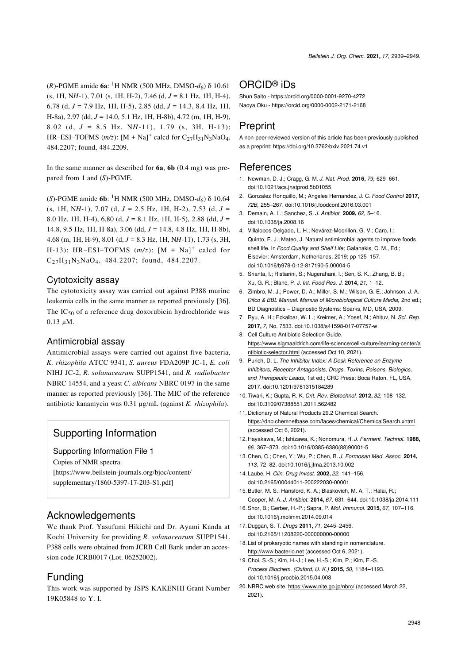(*R*)-PGME amide **6a**: 1H NMR (500 MHz, DMSO-*d*6) δ 10.61 (s, 1H, N*H*-1), 7.01 (s, 1H, H-2), 7.46 (d, *J* = 8.1 Hz, 1H, H-4), 6.78 (d, *J* = 7.9 Hz, 1H, H-5), 2.85 (dd, *J* = 14.3, 8.4 Hz, 1H, H-8a), 2.97 (dd, *J* = 14.0, 5.1 Hz, 1H, H-8b), 4.72 (m, 1H, H-9), 8.02 (d, *J* = 8.5 Hz, N*H*-11), 1.79 (s, 3H, H-13); HR–ESI–TOFMS  $(m/z)$ :  $[M + Na]$ <sup>+</sup> calcd for C<sub>27</sub>H<sub>31</sub>N<sub>3</sub>NaO<sub>4</sub>, 484.2207; found, 484.2209.

In the same manner as described for **6a**, **6b** (0.4 mg) was prepared from **1** and (*S*)-PGME.

(*S*)-PGME amide **6b**: 1H NMR (500 MHz, DMSO-*d*6) δ 10.64 (s, 1H, N*H*-1), 7.07 (d, *J* = 2.5 Hz, 1H, H-2), 7.53 (d, *J* = 8.0 Hz, 1H, H-4), 6.80 (d, *J* = 8.1 Hz, 1H, H-5), 2.88 (dd, *J* = 14.8, 9.5 Hz, 1H, H-8a), 3.06 (dd, *J* = 14.8, 4.8 Hz, 1H, H-8b), 4.68 (m, 1H, H-9), 8.01 (d, *J* = 8.3 Hz, 1H, N*H*-11), 1.73 (s, 3H, H-13); HR-ESI-TOFMS  $(m/z)$ :  $[M + Na]$ <sup>+</sup> calcd for C27H31N3NaO4, 484.2207; found, 484.2207.

## Cytotoxicity assay

The cytotoxicity assay was carried out against P388 murine leukemia cells in the same manner as reported previously [\[36\]](#page-10-15). The  $IC_{50}$  of a reference drug doxorubicin hydrochloride was 0.13 μM.

#### Antimicrobial assay

Antimicrobial assays were carried out against five bacteria, *K. rhizophila* ATCC 9341, *S. aureus* FDA209P JC-1, *E. coli* NIHJ JC-2, *R. solanacearum* SUPP1541, and *R. radiobacter* NBRC 14554, and a yeast *C. albicans* NBRC 0197 in the same manner as reported previously [\[36\].](#page-10-15) The MIC of the reference antibiotic kanamycin was 0.31 μg/mL (against *K. rhizophila*).

# Supporting Information

<span id="page-9-15"></span>Supporting Information File 1

Copies of NMR spectra.

[\[https://www.beilstein-journals.org/bjoc/content/](https://www.beilstein-journals.org/bjoc/content/supplementary/1860-5397-17-203-S1.pdf) [supplementary/1860-5397-17-203-S1.pdf\]](https://www.beilstein-journals.org/bjoc/content/supplementary/1860-5397-17-203-S1.pdf)

### Acknowledgements

We thank Prof. Yasufumi Hikichi and Dr. Ayami Kanda at Kochi University for providing *R. solanacearum* SUPP1541. P388 cells were obtained from JCRB Cell Bank under an accession code JCRB0017 (Lot. 06252002).

# Funding

This work was supported by JSPS KAKENHI Grant Number 19K05848 to Y. I.

# ORCID® iDs

Shun Saito -<https://orcid.org/0000-0001-9270-4272> Naoya Oku - <https://orcid.org/0000-0002-2171-2168>

# Preprint

A non-peer-reviewed version of this article has been previously published as a preprint:<https://doi.org/10.3762/bxiv.2021.74.v1>

### **References**

- <span id="page-9-0"></span>1. Newman, D. J.; Cragg, G. M. *J. Nat. Prod.* **2016,** *79,* 629–661. [doi:10.1021/acs.jnatprod.5b01055](https://doi.org/10.1021%2Facs.jnatprod.5b01055)
- 2. Gonzalez Ronquillo, M.; Angeles Hernandez, J. C. *Food Control* **2017,** *72B,* 255–267. [doi:10.1016/j.foodcont.2016.03.001](https://doi.org/10.1016%2Fj.foodcont.2016.03.001)
- <span id="page-9-1"></span>3. Demain, A. L.; Sanchez, S. *J. Antibiot.* **2009,** *62,* 5–16. [doi:10.1038/ja.2008.16](https://doi.org/10.1038%2Fja.2008.16)
- <span id="page-9-2"></span>4. Villalobos-Delgado, L. H.; Nevárez-Moorillon, G. V.; Caro, L.; Quinto, E. J.; Mateo, J. Natural antimicrobial agents to improve foods shelf life. In *Food Quality and Shelf Life;* Galanakis, C. M., Ed.; Elsevier: Amsterdam, Netherlands, 2019; pp 125–157. [doi:10.1016/b978-0-12-817190-5.00004-5](https://doi.org/10.1016%2Fb978-0-12-817190-5.00004-5)
- 5. Srianta, I.; Ristiarini, S.; Nugerahani, I.; Sen, S. K.; Zhang, B. B.; Xu, G. R.; Blanc, P. J. *Int. Food Res. J.* **2014,** *21,* 1–12.
- <span id="page-9-3"></span>6. Zimbro, M. J.; Power, D. A.; Miller, S. M.; Wilson, G. E.; Johnson, J. A. *Difco & BBL Manual. Manual of Microbiological Culture Media,* 2nd ed.; BD Diagnostics – Diagnostic Systems: Sparks, MD, USA, 2009.
- 7. Ryu, A. H.; Eckalbar, W. L.; Kreimer, A.; Yosef, N.; Ahituv, N. *Sci. Rep.* **2017,** *7,* No. 7533. [doi:10.1038/s41598-017-07757-w](https://doi.org/10.1038%2Fs41598-017-07757-w)
- 8. Cell Culture Antibiotic Selection Guide. [https://www.sigmaaldrich.com/life-science/cell-culture/learning-center/a](https://www.sigmaaldrich.com/life-science/cell-culture/learning-center/antibiotic-selector.html) [ntibiotic-selector.html](https://www.sigmaaldrich.com/life-science/cell-culture/learning-center/antibiotic-selector.html) (accessed Oct 10, 2021).
- 9. Purich, D. L. *The Inhibitor Index: A Desk Reference on Enzyme Inhibitors, Receptor Antagonists, Drugs, Toxins, Poisons, Biologics, and Therapeutic Leads,* 1st ed.; CRC Press: Boca Raton, FL, USA, 2017. [doi:10.1201/9781315184289](https://doi.org/10.1201%2F9781315184289)
- <span id="page-9-4"></span>10.Tiwari, K.; Gupta, R. K. *Crit. Rev. Biotechnol.* **2012,** *32,* 108–132. [doi:10.3109/07388551.2011.562482](https://doi.org/10.3109%2F07388551.2011.562482)
- <span id="page-9-5"></span>11. Dictionary of Natural Products 29.2 Chemical Search. <https://dnp.chemnetbase.com/faces/chemical/ChemicalSearch.xhtml> (accessed Oct 6, 2021).
- <span id="page-9-6"></span>12. Hayakawa, M.; Ishizawa, K.; Nonomura, H. *J. Ferment. Technol.* **1988,** *66,* 367–373. [doi:10.1016/0385-6380\(88\)90001-5](https://doi.org/10.1016%2F0385-6380%2888%2990001-5)
- <span id="page-9-7"></span>13. Chen, C.; Chen, Y.; Wu, P.; Chen, B. *J. Formosan Med. Assoc.* **2014,** *113,* 72–82. [doi:10.1016/j.jfma.2013.10.002](https://doi.org/10.1016%2Fj.jfma.2013.10.002)
- <span id="page-9-8"></span>14. Laube, H. *Clin. Drug Invest.* **2002,** *22,* 141–156. [doi:10.2165/00044011-200222030-00001](https://doi.org/10.2165%2F00044011-200222030-00001)
- <span id="page-9-9"></span>15.Butler, M. S.; Hansford, K. A.; Blaskovich, M. A. T.; Halai, R.; Cooper, M. A. *J. Antibiot.* **2014,** *67,* 631–644. [doi:10.1038/ja.2014.111](https://doi.org/10.1038%2Fja.2014.111)
- <span id="page-9-10"></span>16.Shor, B.; Gerber, H.-P.; Sapra, P. *Mol. Immunol.* **2015,** *67,* 107–116. [doi:10.1016/j.molimm.2014.09.014](https://doi.org/10.1016%2Fj.molimm.2014.09.014)
- <span id="page-9-11"></span>17. Duggan, S. T. *Drugs* **2011,** *71,* 2445–2456. [doi:10.2165/11208220-000000000-00000](https://doi.org/10.2165%2F11208220-000000000-00000)
- <span id="page-9-12"></span>18. List of prokaryotic names with standing in nomenclature. <http://www.bacterio.net>(accessed Oct 6, 2021).
- <span id="page-9-13"></span>19. Choi, S.-S.; Kim, H.-J.; Lee, H.-S.; Kim, P.; Kim, E.-S. *Process Biochem. (Oxford, U. K.)* **2015,** *50,* 1184–1193. [doi:10.1016/j.procbio.2015.04.008](https://doi.org/10.1016%2Fj.procbio.2015.04.008)
- <span id="page-9-14"></span>20. NBRC web site. <https://www.nite.go.jp/nbrc/>(accessed March 22, 2021).